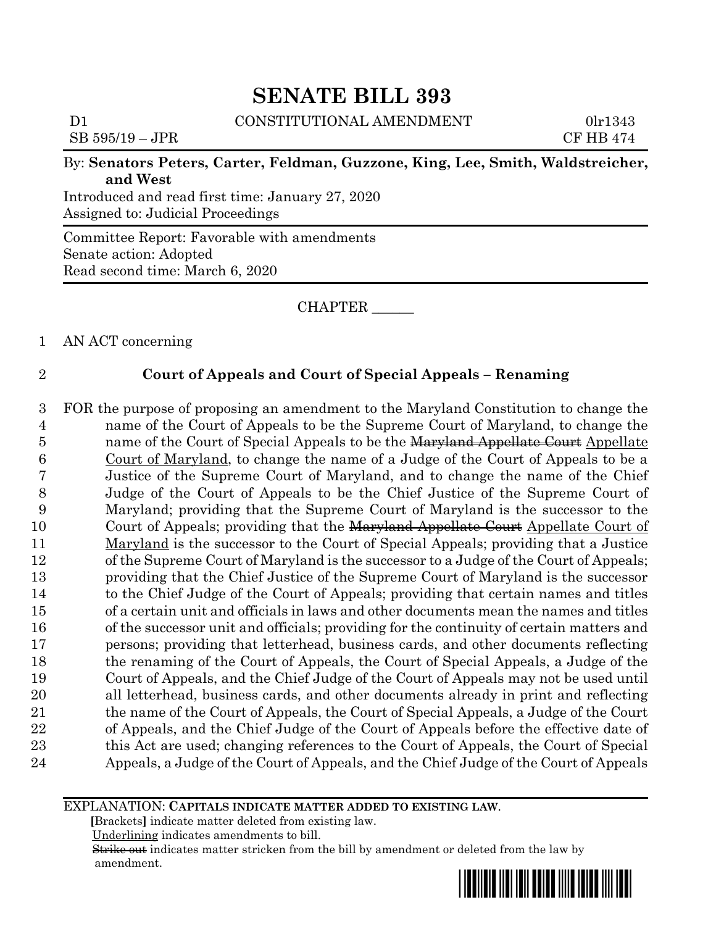D1 CONSTITUTIONAL AMENDMENT 0lr1343

 $SB 595/19 - JPR$  CF HB 474

# By: **Senators Peters, Carter, Feldman, Guzzone, King, Lee, Smith, Waldstreicher, and West**

Introduced and read first time: January 27, 2020 Assigned to: Judicial Proceedings

Committee Report: Favorable with amendments Senate action: Adopted Read second time: March 6, 2020

CHAPTER \_\_\_\_\_\_

1 AN ACT concerning

# 2 **Court of Appeals and Court of Special Appeals – Renaming**

 FOR the purpose of proposing an amendment to the Maryland Constitution to change the name of the Court of Appeals to be the Supreme Court of Maryland, to change the 5 hame of the Court of Special Appeals to be the Maryland Appellate Court Appellate Court of Maryland, to change the name of a Judge of the Court of Appeals to be a Justice of the Supreme Court of Maryland, and to change the name of the Chief Judge of the Court of Appeals to be the Chief Justice of the Supreme Court of Maryland; providing that the Supreme Court of Maryland is the successor to the 10 Court of Appeals; providing that the Maryland Appellate Court Appellate Court of 11 Maryland is the successor to the Court of Special Appeals; providing that a Justice 12 of the Supreme Court of Maryland is the successor to a Judge of the Court of Appeals; providing that the Chief Justice of the Supreme Court of Maryland is the successor to the Chief Judge of the Court of Appeals; providing that certain names and titles of a certain unit and officials in laws and other documents mean the names and titles 16 of the successor unit and officials; providing for the continuity of certain matters and persons; providing that letterhead, business cards, and other documents reflecting the renaming of the Court of Appeals, the Court of Special Appeals, a Judge of the Court of Appeals, and the Chief Judge of the Court of Appeals may not be used until all letterhead, business cards, and other documents already in print and reflecting 21 the name of the Court of Appeals, the Court of Special Appeals, a Judge of the Court of Appeals, and the Chief Judge of the Court of Appeals before the effective date of 23 this Act are used; changing references to the Court of Appeals, the Court of Special Appeals, a Judge of the Court of Appeals, and the Chief Judge of the Court of Appeals

EXPLANATION: **CAPITALS INDICATE MATTER ADDED TO EXISTING LAW**.

 **[**Brackets**]** indicate matter deleted from existing law.

Underlining indicates amendments to bill.

 Strike out indicates matter stricken from the bill by amendment or deleted from the law by amendment.

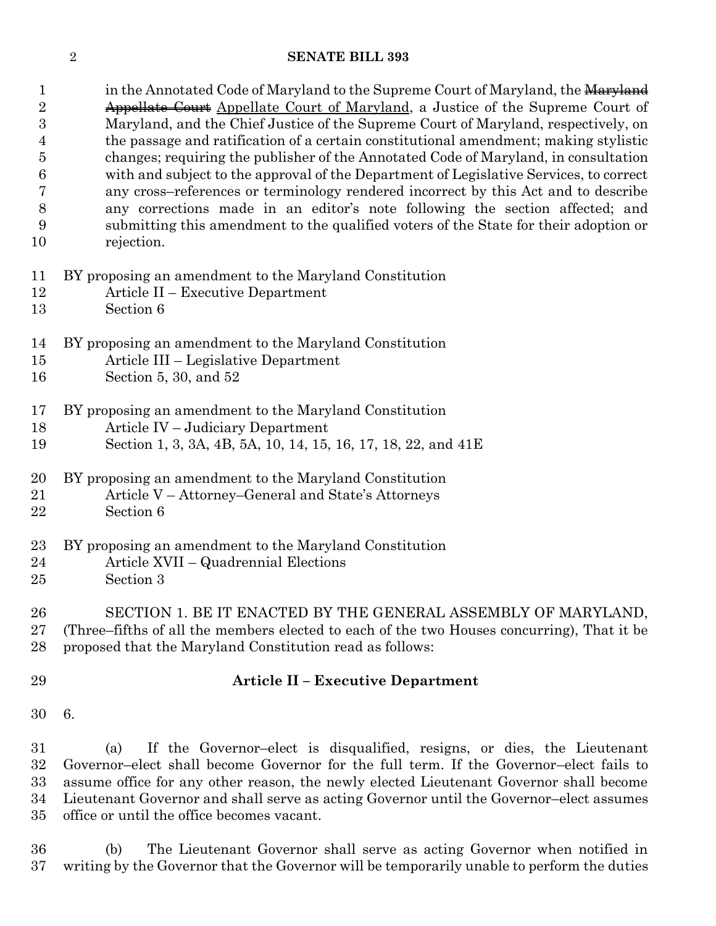| $\mathbf{1}$     | in the Annotated Code of Maryland to the Supreme Court of Maryland, the <del>Maryland</del> |
|------------------|---------------------------------------------------------------------------------------------|
| $\overline{2}$   | Appellate Court Appellate Court of Maryland, a Justice of the Supreme Court of              |
| $\boldsymbol{3}$ | Maryland, and the Chief Justice of the Supreme Court of Maryland, respectively, on          |
| 4                | the passage and ratification of a certain constitutional amendment; making stylistic        |
| $\overline{5}$   | changes; requiring the publisher of the Annotated Code of Maryland, in consultation         |
| 6                | with and subject to the approval of the Department of Legislative Services, to correct      |
| 7                | any cross–references or terminology rendered incorrect by this Act and to describe          |
| $8\,$            | any corrections made in an editor's note following the section affected; and                |
| 9                | submitting this amendment to the qualified voters of the State for their adoption or        |
| 10               | rejection.                                                                                  |
| 11               | BY proposing an amendment to the Maryland Constitution                                      |
| 12               | Article II - Executive Department                                                           |
| 13               | Section 6                                                                                   |
| 14               | BY proposing an amendment to the Maryland Constitution                                      |
| 15               | Article III – Legislative Department                                                        |
| 16               | Section $5, 30,$ and $52$                                                                   |
|                  |                                                                                             |
| 17               | BY proposing an amendment to the Maryland Constitution                                      |
| 18               | Article IV – Judiciary Department                                                           |
| 19               | Section 1, 3, 3A, 4B, 5A, 10, 14, 15, 16, 17, 18, 22, and 41E                               |
| 20               | BY proposing an amendment to the Maryland Constitution                                      |
| 21               | Article V – Attorney–General and State's Attorneys                                          |
| 22               | Section 6                                                                                   |
|                  |                                                                                             |
| 23               | BY proposing an amendment to the Maryland Constitution                                      |
| 24               | Article XVII - Quadrennial Elections                                                        |
| $25\,$           | Section 3                                                                                   |
| 26               | SECTION 1. BE IT ENACTED BY THE GENERAL ASSEMBLY OF MARYLAND,                               |
| 27               | (Three–fifths of all the members elected to each of the two Houses concurring), That it be  |
| 28               | proposed that the Maryland Constitution read as follows:                                    |
| 29               | <b>Article II - Executive Department</b>                                                    |
|                  |                                                                                             |
| 30               | 6.                                                                                          |
| 31               | If the Governor-elect is disqualified, resigns, or dies, the Lieutenant<br>(a)              |
| 32               | Governor-elect shall become Governor for the full term. If the Governor-elect fails to      |
| 33               | assume office for any other reason, the newly elected Lieutenant Governor shall become      |
| 34               | Lieutenant Governor and shall serve as acting Governor until the Governor-elect assumes     |
| 35               | office or until the office becomes vacant.                                                  |
|                  |                                                                                             |

 (b) The Lieutenant Governor shall serve as acting Governor when notified in writing by the Governor that the Governor will be temporarily unable to perform the duties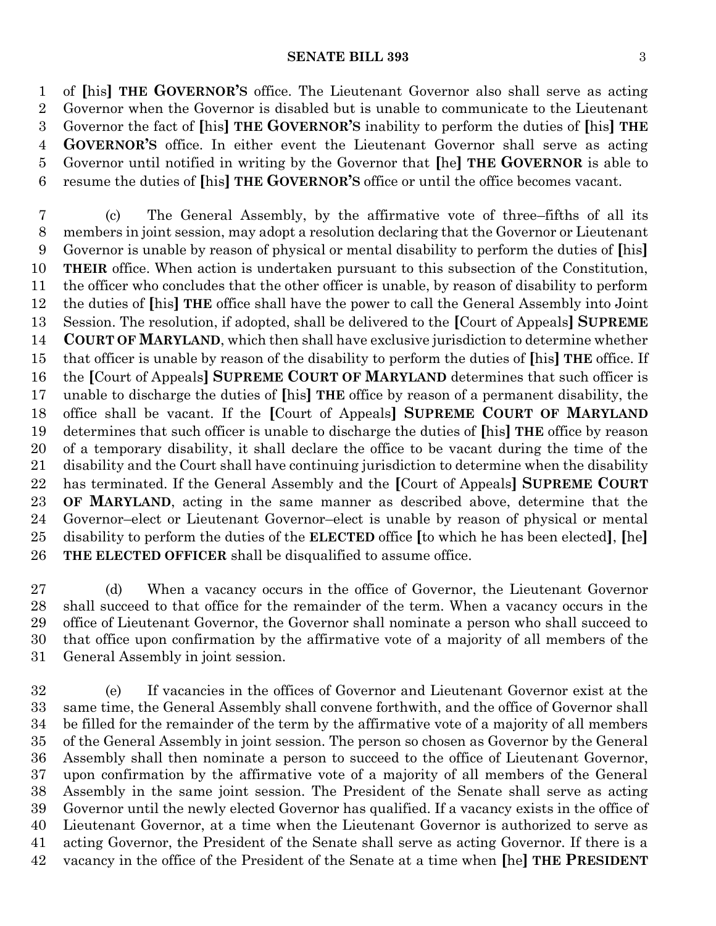of **[**his**] THE GOVERNOR'S** office. The Lieutenant Governor also shall serve as acting Governor when the Governor is disabled but is unable to communicate to the Lieutenant Governor the fact of **[**his**] THE GOVERNOR'S** inability to perform the duties of **[**his**] THE GOVERNOR'S** office. In either event the Lieutenant Governor shall serve as acting Governor until notified in writing by the Governor that **[**he**] THE GOVERNOR** is able to resume the duties of **[**his**] THE GOVERNOR'S** office or until the office becomes vacant.

 (c) The General Assembly, by the affirmative vote of three–fifths of all its members in joint session, may adopt a resolution declaring that the Governor or Lieutenant Governor is unable by reason of physical or mental disability to perform the duties of **[**his**] THEIR** office. When action is undertaken pursuant to this subsection of the Constitution, the officer who concludes that the other officer is unable, by reason of disability to perform the duties of **[**his**] THE** office shall have the power to call the General Assembly into Joint Session. The resolution, if adopted, shall be delivered to the **[**Court of Appeals**] SUPREME COURT OF MARYLAND**, which then shall have exclusive jurisdiction to determine whether that officer is unable by reason of the disability to perform the duties of **[**his**] THE** office. If the **[**Court of Appeals**] SUPREME COURT OF MARYLAND** determines that such officer is unable to discharge the duties of **[**his**] THE** office by reason of a permanent disability, the office shall be vacant. If the **[**Court of Appeals**] SUPREME COURT OF MARYLAND** determines that such officer is unable to discharge the duties of **[**his**] THE** office by reason of a temporary disability, it shall declare the office to be vacant during the time of the disability and the Court shall have continuing jurisdiction to determine when the disability has terminated. If the General Assembly and the **[**Court of Appeals**] SUPREME COURT OF MARYLAND**, acting in the same manner as described above, determine that the Governor–elect or Lieutenant Governor–elect is unable by reason of physical or mental disability to perform the duties of the **ELECTED** office **[**to which he has been elected**]**, **[**he**] THE ELECTED OFFICER** shall be disqualified to assume office.

 (d) When a vacancy occurs in the office of Governor, the Lieutenant Governor shall succeed to that office for the remainder of the term. When a vacancy occurs in the office of Lieutenant Governor, the Governor shall nominate a person who shall succeed to that office upon confirmation by the affirmative vote of a majority of all members of the General Assembly in joint session.

 (e) If vacancies in the offices of Governor and Lieutenant Governor exist at the same time, the General Assembly shall convene forthwith, and the office of Governor shall be filled for the remainder of the term by the affirmative vote of a majority of all members of the General Assembly in joint session. The person so chosen as Governor by the General Assembly shall then nominate a person to succeed to the office of Lieutenant Governor, upon confirmation by the affirmative vote of a majority of all members of the General Assembly in the same joint session. The President of the Senate shall serve as acting Governor until the newly elected Governor has qualified. If a vacancy exists in the office of Lieutenant Governor, at a time when the Lieutenant Governor is authorized to serve as acting Governor, the President of the Senate shall serve as acting Governor. If there is a vacancy in the office of the President of the Senate at a time when **[**he**] THE PRESIDENT**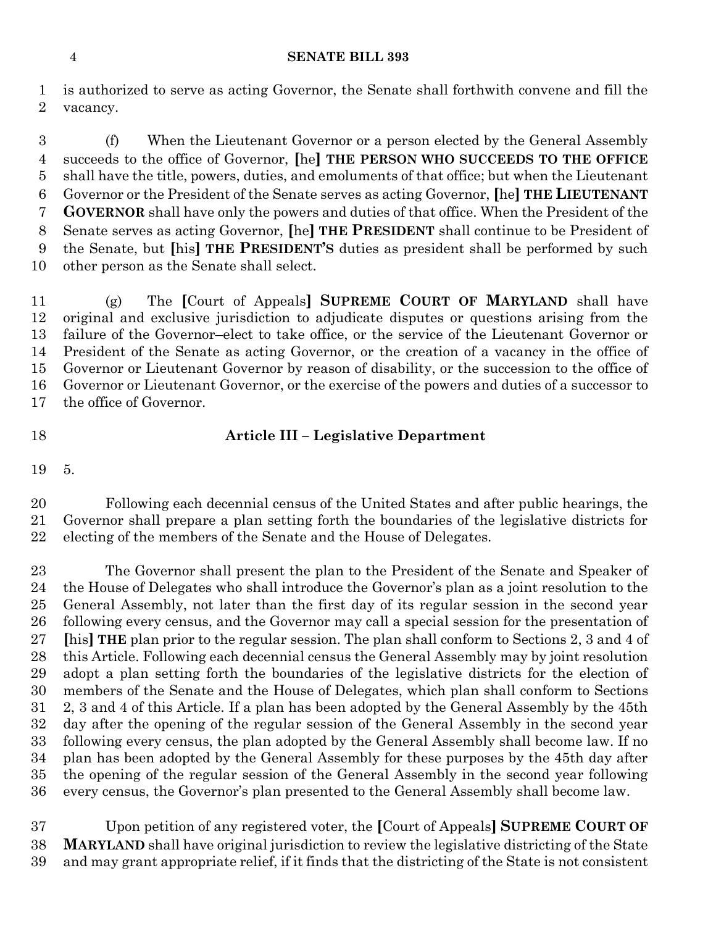is authorized to serve as acting Governor, the Senate shall forthwith convene and fill the vacancy.

 (f) When the Lieutenant Governor or a person elected by the General Assembly succeeds to the office of Governor, **[**he**] THE PERSON WHO SUCCEEDS TO THE OFFICE** shall have the title, powers, duties, and emoluments of that office; but when the Lieutenant Governor or the President of the Senate serves as acting Governor, **[**he**] THE LIEUTENANT GOVERNOR** shall have only the powers and duties of that office. When the President of the Senate serves as acting Governor, **[**he**] THE PRESIDENT** shall continue to be President of the Senate, but **[**his**] THE PRESIDENT'S** duties as president shall be performed by such other person as the Senate shall select.

 (g) The **[**Court of Appeals**] SUPREME COURT OF MARYLAND** shall have original and exclusive jurisdiction to adjudicate disputes or questions arising from the failure of the Governor–elect to take office, or the service of the Lieutenant Governor or President of the Senate as acting Governor, or the creation of a vacancy in the office of Governor or Lieutenant Governor by reason of disability, or the succession to the office of Governor or Lieutenant Governor, or the exercise of the powers and duties of a successor to the office of Governor.

## **Article III – Legislative Department**

5.

 Following each decennial census of the United States and after public hearings, the Governor shall prepare a plan setting forth the boundaries of the legislative districts for electing of the members of the Senate and the House of Delegates.

 The Governor shall present the plan to the President of the Senate and Speaker of the House of Delegates who shall introduce the Governor's plan as a joint resolution to the General Assembly, not later than the first day of its regular session in the second year following every census, and the Governor may call a special session for the presentation of **[**his**] THE** plan prior to the regular session. The plan shall conform to Sections 2, 3 and 4 of this Article. Following each decennial census the General Assembly may by joint resolution adopt a plan setting forth the boundaries of the legislative districts for the election of members of the Senate and the House of Delegates, which plan shall conform to Sections 2, 3 and 4 of this Article. If a plan has been adopted by the General Assembly by the 45th day after the opening of the regular session of the General Assembly in the second year following every census, the plan adopted by the General Assembly shall become law. If no plan has been adopted by the General Assembly for these purposes by the 45th day after the opening of the regular session of the General Assembly in the second year following every census, the Governor's plan presented to the General Assembly shall become law.

 Upon petition of any registered voter, the **[**Court of Appeals**] SUPREME COURT OF MARYLAND** shall have original jurisdiction to review the legislative districting of the State and may grant appropriate relief, if it finds that the districting of the State is not consistent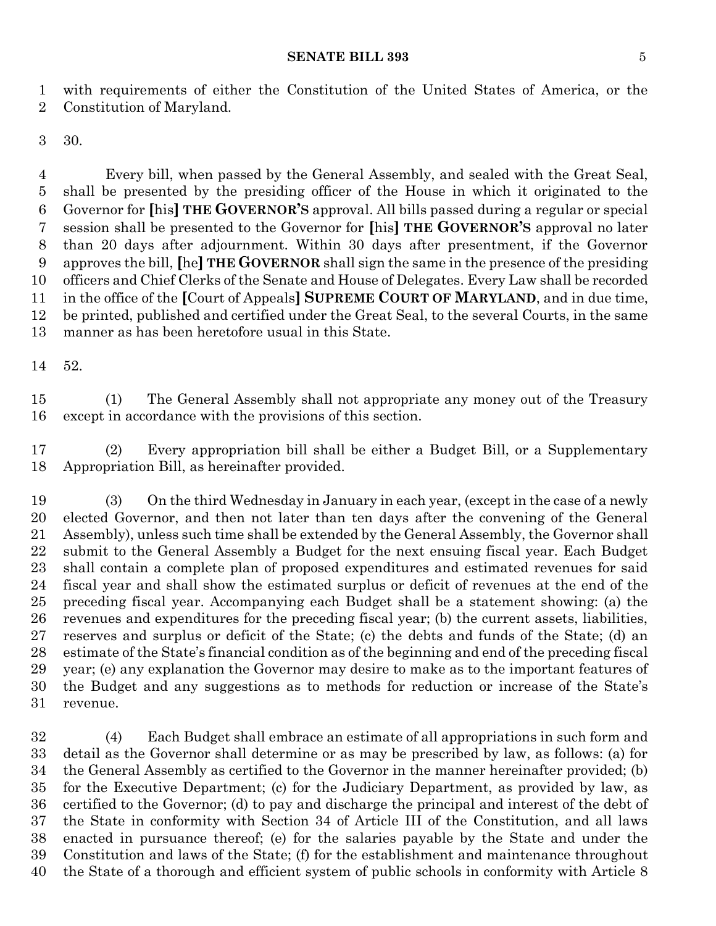with requirements of either the Constitution of the United States of America, or the

Constitution of Maryland.

30.

 Every bill, when passed by the General Assembly, and sealed with the Great Seal, shall be presented by the presiding officer of the House in which it originated to the Governor for **[**his**] THE GOVERNOR'S** approval. All bills passed during a regular or special session shall be presented to the Governor for **[**his**] THE GOVERNOR'S** approval no later than 20 days after adjournment. Within 30 days after presentment, if the Governor approves the bill, **[**he**] THE GOVERNOR** shall sign the same in the presence of the presiding officers and Chief Clerks of the Senate and House of Delegates. Every Law shall be recorded in the office of the **[**Court of Appeals**] SUPREME COURT OF MARYLAND**, and in due time, be printed, published and certified under the Great Seal, to the several Courts, in the same manner as has been heretofore usual in this State.

52.

 (1) The General Assembly shall not appropriate any money out of the Treasury except in accordance with the provisions of this section.

 (2) Every appropriation bill shall be either a Budget Bill, or a Supplementary Appropriation Bill, as hereinafter provided.

 (3) On the third Wednesday in January in each year, (except in the case of a newly elected Governor, and then not later than ten days after the convening of the General Assembly), unless such time shall be extended by the General Assembly, the Governor shall submit to the General Assembly a Budget for the next ensuing fiscal year. Each Budget shall contain a complete plan of proposed expenditures and estimated revenues for said fiscal year and shall show the estimated surplus or deficit of revenues at the end of the preceding fiscal year. Accompanying each Budget shall be a statement showing: (a) the revenues and expenditures for the preceding fiscal year; (b) the current assets, liabilities, reserves and surplus or deficit of the State; (c) the debts and funds of the State; (d) an estimate of the State's financial condition as of the beginning and end of the preceding fiscal year; (e) any explanation the Governor may desire to make as to the important features of the Budget and any suggestions as to methods for reduction or increase of the State's revenue.

 (4) Each Budget shall embrace an estimate of all appropriations in such form and detail as the Governor shall determine or as may be prescribed by law, as follows: (a) for the General Assembly as certified to the Governor in the manner hereinafter provided; (b) for the Executive Department; (c) for the Judiciary Department, as provided by law, as certified to the Governor; (d) to pay and discharge the principal and interest of the debt of the State in conformity with Section 34 of Article III of the Constitution, and all laws enacted in pursuance thereof; (e) for the salaries payable by the State and under the Constitution and laws of the State; (f) for the establishment and maintenance throughout the State of a thorough and efficient system of public schools in conformity with Article 8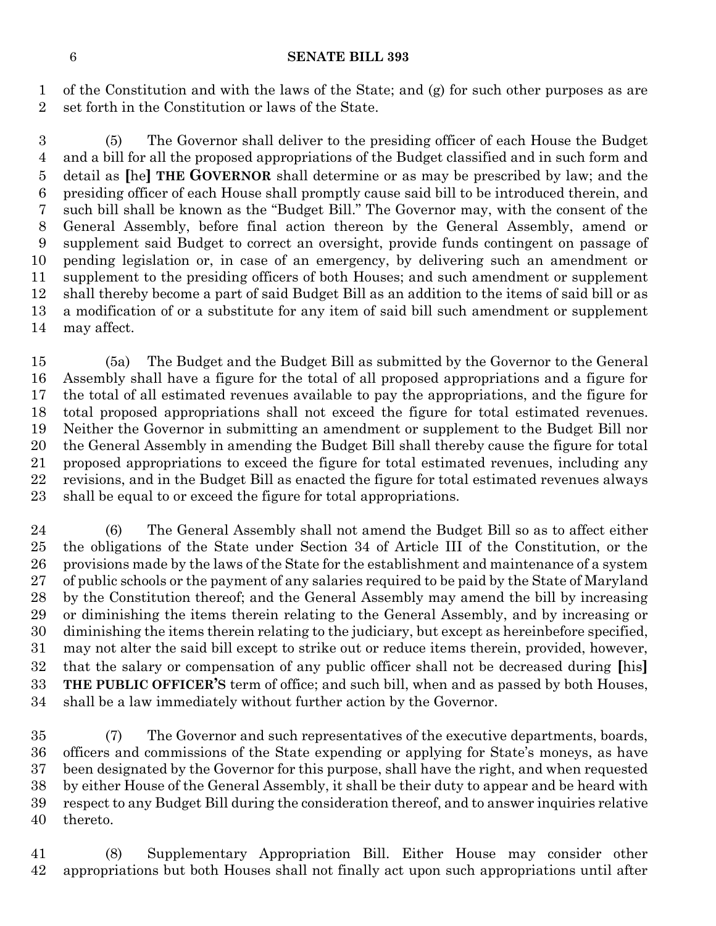of the Constitution and with the laws of the State; and (g) for such other purposes as are set forth in the Constitution or laws of the State.

 (5) The Governor shall deliver to the presiding officer of each House the Budget and a bill for all the proposed appropriations of the Budget classified and in such form and detail as **[**he**] THE GOVERNOR** shall determine or as may be prescribed by law; and the presiding officer of each House shall promptly cause said bill to be introduced therein, and such bill shall be known as the "Budget Bill." The Governor may, with the consent of the General Assembly, before final action thereon by the General Assembly, amend or supplement said Budget to correct an oversight, provide funds contingent on passage of pending legislation or, in case of an emergency, by delivering such an amendment or supplement to the presiding officers of both Houses; and such amendment or supplement shall thereby become a part of said Budget Bill as an addition to the items of said bill or as a modification of or a substitute for any item of said bill such amendment or supplement may affect.

 (5a) The Budget and the Budget Bill as submitted by the Governor to the General Assembly shall have a figure for the total of all proposed appropriations and a figure for the total of all estimated revenues available to pay the appropriations, and the figure for total proposed appropriations shall not exceed the figure for total estimated revenues. Neither the Governor in submitting an amendment or supplement to the Budget Bill nor the General Assembly in amending the Budget Bill shall thereby cause the figure for total proposed appropriations to exceed the figure for total estimated revenues, including any revisions, and in the Budget Bill as enacted the figure for total estimated revenues always shall be equal to or exceed the figure for total appropriations.

 (6) The General Assembly shall not amend the Budget Bill so as to affect either the obligations of the State under Section 34 of Article III of the Constitution, or the provisions made by the laws of the State for the establishment and maintenance of a system of public schools or the payment of any salaries required to be paid by the State of Maryland by the Constitution thereof; and the General Assembly may amend the bill by increasing or diminishing the items therein relating to the General Assembly, and by increasing or diminishing the items therein relating to the judiciary, but except as hereinbefore specified, may not alter the said bill except to strike out or reduce items therein, provided, however, that the salary or compensation of any public officer shall not be decreased during **[**his**] THE PUBLIC OFFICER'S** term of office; and such bill, when and as passed by both Houses, shall be a law immediately without further action by the Governor.

 (7) The Governor and such representatives of the executive departments, boards, officers and commissions of the State expending or applying for State's moneys, as have been designated by the Governor for this purpose, shall have the right, and when requested by either House of the General Assembly, it shall be their duty to appear and be heard with respect to any Budget Bill during the consideration thereof, and to answer inquiries relative thereto.

 (8) Supplementary Appropriation Bill. Either House may consider other appropriations but both Houses shall not finally act upon such appropriations until after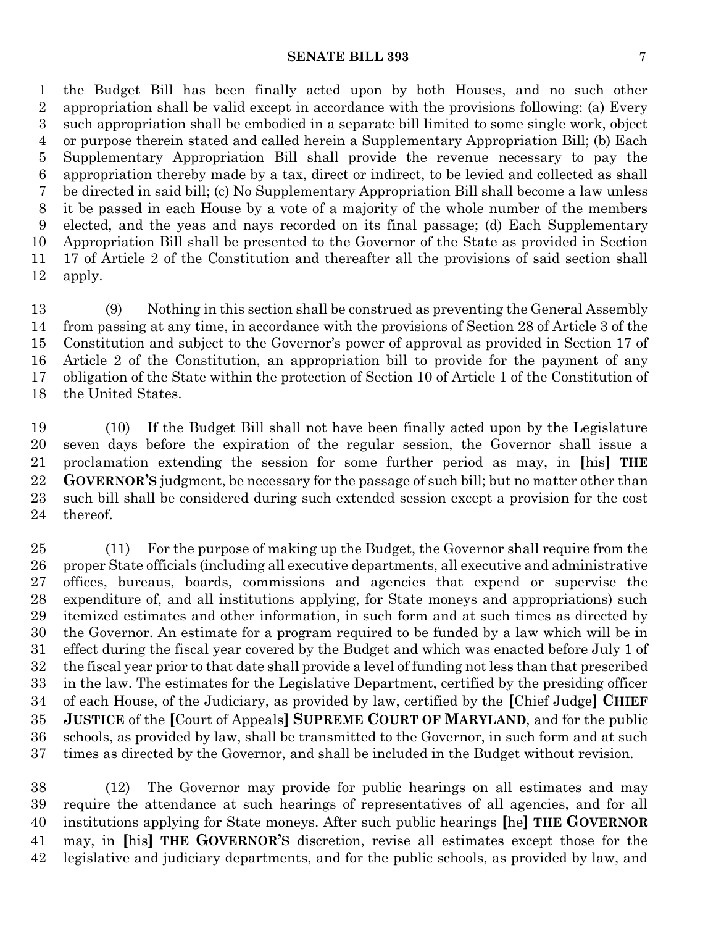the Budget Bill has been finally acted upon by both Houses, and no such other appropriation shall be valid except in accordance with the provisions following: (a) Every such appropriation shall be embodied in a separate bill limited to some single work, object or purpose therein stated and called herein a Supplementary Appropriation Bill; (b) Each Supplementary Appropriation Bill shall provide the revenue necessary to pay the appropriation thereby made by a tax, direct or indirect, to be levied and collected as shall be directed in said bill; (c) No Supplementary Appropriation Bill shall become a law unless it be passed in each House by a vote of a majority of the whole number of the members elected, and the yeas and nays recorded on its final passage; (d) Each Supplementary Appropriation Bill shall be presented to the Governor of the State as provided in Section 17 of Article 2 of the Constitution and thereafter all the provisions of said section shall apply.

 (9) Nothing in this section shall be construed as preventing the General Assembly from passing at any time, in accordance with the provisions of Section 28 of Article 3 of the Constitution and subject to the Governor's power of approval as provided in Section 17 of Article 2 of the Constitution, an appropriation bill to provide for the payment of any obligation of the State within the protection of Section 10 of Article 1 of the Constitution of the United States.

 (10) If the Budget Bill shall not have been finally acted upon by the Legislature seven days before the expiration of the regular session, the Governor shall issue a proclamation extending the session for some further period as may, in **[**his**] THE GOVERNOR'S** judgment, be necessary for the passage of such bill; but no matter other than such bill shall be considered during such extended session except a provision for the cost thereof.

 (11) For the purpose of making up the Budget, the Governor shall require from the proper State officials (including all executive departments, all executive and administrative offices, bureaus, boards, commissions and agencies that expend or supervise the expenditure of, and all institutions applying, for State moneys and appropriations) such itemized estimates and other information, in such form and at such times as directed by the Governor. An estimate for a program required to be funded by a law which will be in effect during the fiscal year covered by the Budget and which was enacted before July 1 of the fiscal year prior to that date shall provide a level of funding not less than that prescribed in the law. The estimates for the Legislative Department, certified by the presiding officer of each House, of the Judiciary, as provided by law, certified by the **[**Chief Judge**] CHIEF JUSTICE** of the **[**Court of Appeals**] SUPREME COURT OF MARYLAND**, and for the public schools, as provided by law, shall be transmitted to the Governor, in such form and at such times as directed by the Governor, and shall be included in the Budget without revision.

 (12) The Governor may provide for public hearings on all estimates and may require the attendance at such hearings of representatives of all agencies, and for all institutions applying for State moneys. After such public hearings **[**he**] THE GOVERNOR** may, in **[**his**] THE GOVERNOR'S** discretion, revise all estimates except those for the legislative and judiciary departments, and for the public schools, as provided by law, and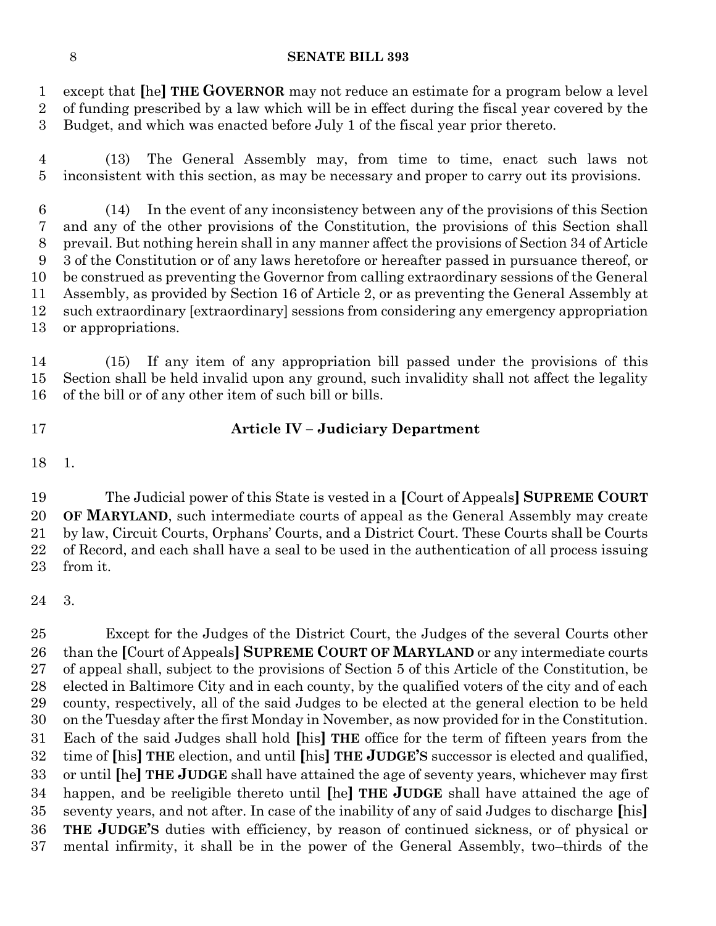except that **[**he**] THE GOVERNOR** may not reduce an estimate for a program below a level of funding prescribed by a law which will be in effect during the fiscal year covered by the Budget, and which was enacted before July 1 of the fiscal year prior thereto.

 (13) The General Assembly may, from time to time, enact such laws not inconsistent with this section, as may be necessary and proper to carry out its provisions.

 (14) In the event of any inconsistency between any of the provisions of this Section and any of the other provisions of the Constitution, the provisions of this Section shall prevail. But nothing herein shall in any manner affect the provisions of Section 34 of Article 3 of the Constitution or of any laws heretofore or hereafter passed in pursuance thereof, or be construed as preventing the Governor from calling extraordinary sessions of the General Assembly, as provided by Section 16 of Article 2, or as preventing the General Assembly at such extraordinary [extraordinary] sessions from considering any emergency appropriation or appropriations.

 (15) If any item of any appropriation bill passed under the provisions of this Section shall be held invalid upon any ground, such invalidity shall not affect the legality of the bill or of any other item of such bill or bills.

## **Article IV – Judiciary Department**

1.

 The Judicial power of this State is vested in a **[**Court of Appeals**] SUPREME COURT OF MARYLAND**, such intermediate courts of appeal as the General Assembly may create by law, Circuit Courts, Orphans' Courts, and a District Court. These Courts shall be Courts of Record, and each shall have a seal to be used in the authentication of all process issuing from it.

#### 3.

 Except for the Judges of the District Court, the Judges of the several Courts other than the **[**Court of Appeals**] SUPREME COURT OF MARYLAND** or any intermediate courts of appeal shall, subject to the provisions of Section 5 of this Article of the Constitution, be elected in Baltimore City and in each county, by the qualified voters of the city and of each county, respectively, all of the said Judges to be elected at the general election to be held on the Tuesday after the first Monday in November, as now provided for in the Constitution. Each of the said Judges shall hold **[**his**] THE** office for the term of fifteen years from the time of **[**his**] THE** election, and until **[**his**] THE JUDGE'S** successor is elected and qualified, or until **[**he**] THE JUDGE** shall have attained the age of seventy years, whichever may first happen, and be reeligible thereto until **[**he**] THE JUDGE** shall have attained the age of seventy years, and not after. In case of the inability of any of said Judges to discharge **[**his**] THE JUDGE'S** duties with efficiency, by reason of continued sickness, or of physical or mental infirmity, it shall be in the power of the General Assembly, two–thirds of the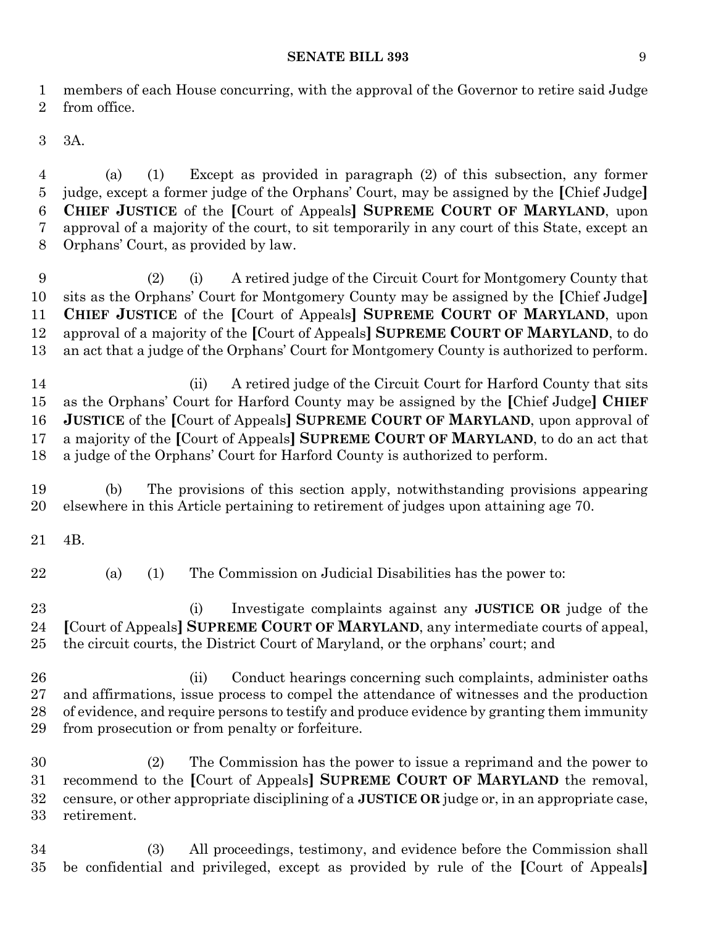members of each House concurring, with the approval of the Governor to retire said Judge from office.

3A.

 (a) (1) Except as provided in paragraph (2) of this subsection, any former judge, except a former judge of the Orphans' Court, may be assigned by the **[**Chief Judge**] CHIEF JUSTICE** of the **[**Court of Appeals**] SUPREME COURT OF MARYLAND**, upon approval of a majority of the court, to sit temporarily in any court of this State, except an Orphans' Court, as provided by law.

 (2) (i) A retired judge of the Circuit Court for Montgomery County that sits as the Orphans' Court for Montgomery County may be assigned by the **[**Chief Judge**] CHIEF JUSTICE** of the **[**Court of Appeals**] SUPREME COURT OF MARYLAND**, upon approval of a majority of the **[**Court of Appeals**] SUPREME COURT OF MARYLAND**, to do an act that a judge of the Orphans' Court for Montgomery County is authorized to perform.

 (ii) A retired judge of the Circuit Court for Harford County that sits as the Orphans' Court for Harford County may be assigned by the **[**Chief Judge**] CHIEF JUSTICE** of the **[**Court of Appeals**] SUPREME COURT OF MARYLAND**, upon approval of a majority of the **[**Court of Appeals**] SUPREME COURT OF MARYLAND**, to do an act that a judge of the Orphans' Court for Harford County is authorized to perform.

 (b) The provisions of this section apply, notwithstanding provisions appearing elsewhere in this Article pertaining to retirement of judges upon attaining age 70.

4B.

(a) (1) The Commission on Judicial Disabilities has the power to:

 (i) Investigate complaints against any **JUSTICE OR** judge of the **[**Court of Appeals**] SUPREME COURT OF MARYLAND**, any intermediate courts of appeal, the circuit courts, the District Court of Maryland, or the orphans' court; and

 (ii) Conduct hearings concerning such complaints, administer oaths and affirmations, issue process to compel the attendance of witnesses and the production of evidence, and require persons to testify and produce evidence by granting them immunity from prosecution or from penalty or forfeiture.

 (2) The Commission has the power to issue a reprimand and the power to recommend to the **[**Court of Appeals**] SUPREME COURT OF MARYLAND** the removal, censure, or other appropriate disciplining of a **JUSTICE OR** judge or, in an appropriate case, retirement.

 (3) All proceedings, testimony, and evidence before the Commission shall be confidential and privileged, except as provided by rule of the **[**Court of Appeals**]**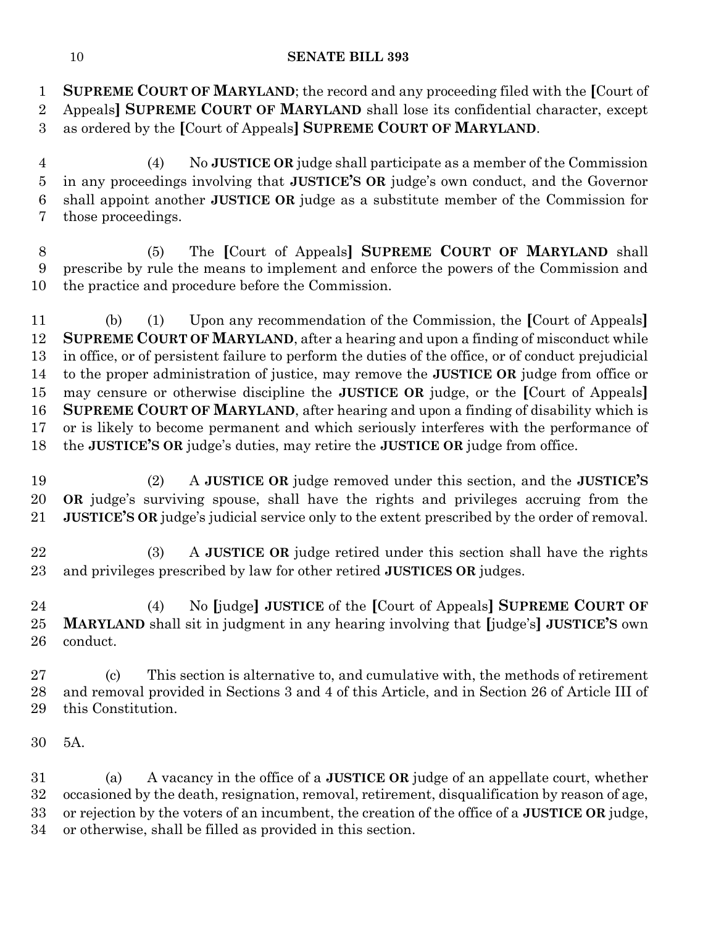**SUPREME COURT OF MARYLAND**; the record and any proceeding filed with the **[**Court of Appeals**] SUPREME COURT OF MARYLAND** shall lose its confidential character, except as ordered by the **[**Court of Appeals**] SUPREME COURT OF MARYLAND**.

 (4) No **JUSTICE OR** judge shall participate as a member of the Commission in any proceedings involving that **JUSTICE'S OR** judge's own conduct, and the Governor shall appoint another **JUSTICE OR** judge as a substitute member of the Commission for those proceedings.

 (5) The **[**Court of Appeals**] SUPREME COURT OF MARYLAND** shall prescribe by rule the means to implement and enforce the powers of the Commission and the practice and procedure before the Commission.

 (b) (1) Upon any recommendation of the Commission, the **[**Court of Appeals**] SUPREME COURT OF MARYLAND**, after a hearing and upon a finding of misconduct while in office, or of persistent failure to perform the duties of the office, or of conduct prejudicial to the proper administration of justice, may remove the **JUSTICE OR** judge from office or may censure or otherwise discipline the **JUSTICE OR** judge, or the **[**Court of Appeals**] SUPREME COURT OF MARYLAND**, after hearing and upon a finding of disability which is or is likely to become permanent and which seriously interferes with the performance of the **JUSTICE'S OR** judge's duties, may retire the **JUSTICE OR** judge from office.

- (2) A **JUSTICE OR** judge removed under this section, and the **JUSTICE'S OR** judge's surviving spouse, shall have the rights and privileges accruing from the **JUSTICE'S OR** judge's judicial service only to the extent prescribed by the order of removal.
- (3) A **JUSTICE OR** judge retired under this section shall have the rights and privileges prescribed by law for other retired **JUSTICES OR** judges.

 (4) No **[**judge**] JUSTICE** of the **[**Court of Appeals**] SUPREME COURT OF MARYLAND** shall sit in judgment in any hearing involving that **[**judge's**] JUSTICE'S** own conduct.

 (c) This section is alternative to, and cumulative with, the methods of retirement and removal provided in Sections 3 and 4 of this Article, and in Section 26 of Article III of this Constitution.

5A.

 (a) A vacancy in the office of a **JUSTICE OR** judge of an appellate court, whether occasioned by the death, resignation, removal, retirement, disqualification by reason of age, or rejection by the voters of an incumbent, the creation of the office of a **JUSTICE OR** judge, or otherwise, shall be filled as provided in this section.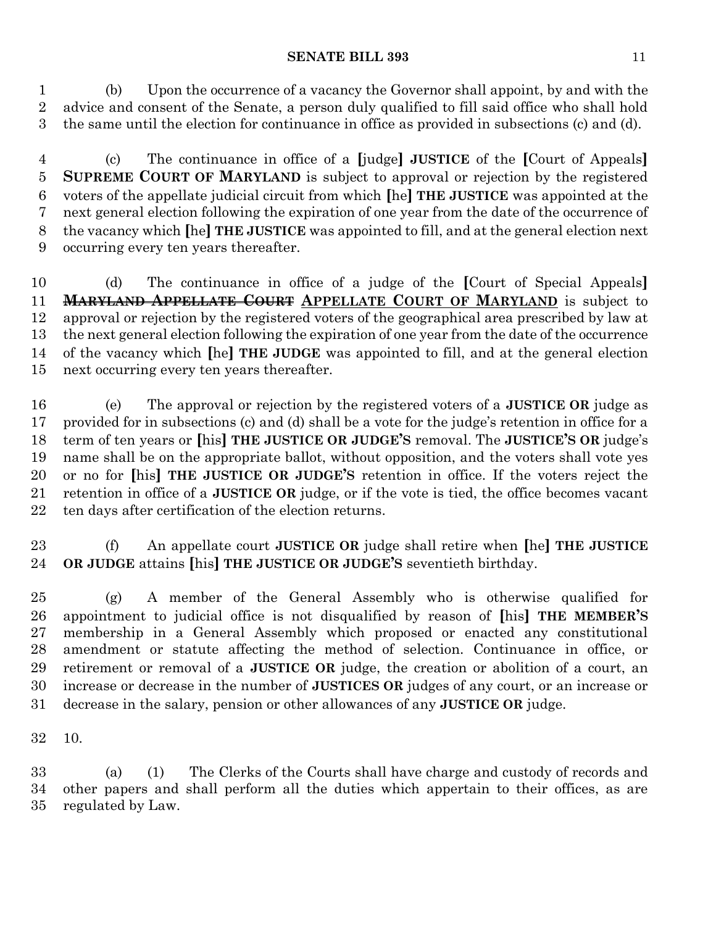(b) Upon the occurrence of a vacancy the Governor shall appoint, by and with the advice and consent of the Senate, a person duly qualified to fill said office who shall hold the same until the election for continuance in office as provided in subsections (c) and (d).

 (c) The continuance in office of a **[**judge**] JUSTICE** of the **[**Court of Appeals**] SUPREME COURT OF MARYLAND** is subject to approval or rejection by the registered voters of the appellate judicial circuit from which **[**he**] THE JUSTICE** was appointed at the next general election following the expiration of one year from the date of the occurrence of the vacancy which **[**he**] THE JUSTICE** was appointed to fill, and at the general election next occurring every ten years thereafter.

 (d) The continuance in office of a judge of the **[**Court of Special Appeals**] MARYLAND APPELLATE COURT APPELLATE COURT OF MARYLAND** is subject to approval or rejection by the registered voters of the geographical area prescribed by law at the next general election following the expiration of one year from the date of the occurrence of the vacancy which **[**he**] THE JUDGE** was appointed to fill, and at the general election next occurring every ten years thereafter.

 (e) The approval or rejection by the registered voters of a **JUSTICE OR** judge as provided for in subsections (c) and (d) shall be a vote for the judge's retention in office for a term of ten years or **[**his**] THE JUSTICE OR JUDGE'S** removal. The **JUSTICE'S OR** judge's name shall be on the appropriate ballot, without opposition, and the voters shall vote yes or no for **[**his**] THE JUSTICE OR JUDGE'S** retention in office. If the voters reject the retention in office of a **JUSTICE OR** judge, or if the vote is tied, the office becomes vacant ten days after certification of the election returns.

 (f) An appellate court **JUSTICE OR** judge shall retire when **[**he**] THE JUSTICE OR JUDGE** attains **[**his**] THE JUSTICE OR JUDGE'S** seventieth birthday.

 (g) A member of the General Assembly who is otherwise qualified for appointment to judicial office is not disqualified by reason of **[**his**] THE MEMBER'S** membership in a General Assembly which proposed or enacted any constitutional amendment or statute affecting the method of selection. Continuance in office, or retirement or removal of a **JUSTICE OR** judge, the creation or abolition of a court, an increase or decrease in the number of **JUSTICES OR** judges of any court, or an increase or decrease in the salary, pension or other allowances of any **JUSTICE OR** judge.

10.

 (a) (1) The Clerks of the Courts shall have charge and custody of records and other papers and shall perform all the duties which appertain to their offices, as are regulated by Law.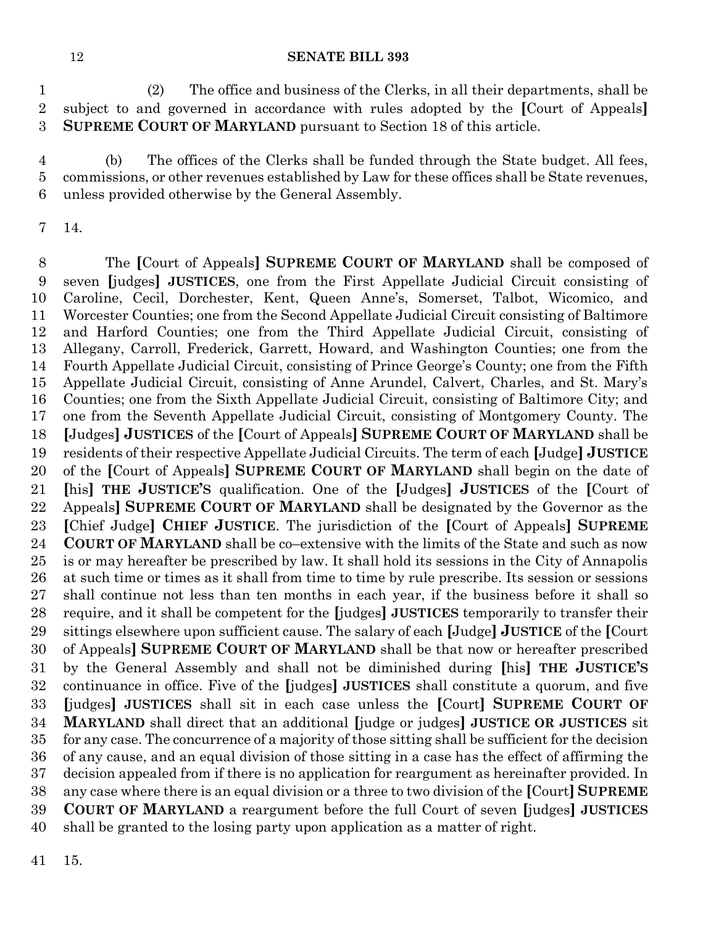(2) The office and business of the Clerks, in all their departments, shall be subject to and governed in accordance with rules adopted by the **[**Court of Appeals**] SUPREME COURT OF MARYLAND** pursuant to Section 18 of this article.

 (b) The offices of the Clerks shall be funded through the State budget. All fees, commissions, or other revenues established by Law for these offices shall be State revenues, unless provided otherwise by the General Assembly.

14.

 The **[**Court of Appeals**] SUPREME COURT OF MARYLAND** shall be composed of seven **[**judges**] JUSTICES**, one from the First Appellate Judicial Circuit consisting of Caroline, Cecil, Dorchester, Kent, Queen Anne's, Somerset, Talbot, Wicomico, and Worcester Counties; one from the Second Appellate Judicial Circuit consisting of Baltimore and Harford Counties; one from the Third Appellate Judicial Circuit, consisting of Allegany, Carroll, Frederick, Garrett, Howard, and Washington Counties; one from the Fourth Appellate Judicial Circuit, consisting of Prince George's County; one from the Fifth Appellate Judicial Circuit, consisting of Anne Arundel, Calvert, Charles, and St. Mary's Counties; one from the Sixth Appellate Judicial Circuit, consisting of Baltimore City; and one from the Seventh Appellate Judicial Circuit, consisting of Montgomery County. The **[**Judges**] JUSTICES** of the **[**Court of Appeals**] SUPREME COURT OF MARYLAND** shall be residents of their respective Appellate Judicial Circuits. The term of each **[**Judge**] JUSTICE** of the **[**Court of Appeals**] SUPREME COURT OF MARYLAND** shall begin on the date of **[**his**] THE JUSTICE'S** qualification. One of the **[**Judges**] JUSTICES** of the **[**Court of Appeals**] SUPREME COURT OF MARYLAND** shall be designated by the Governor as the **[**Chief Judge**] CHIEF JUSTICE**. The jurisdiction of the **[**Court of Appeals**] SUPREME COURT OF MARYLAND** shall be co–extensive with the limits of the State and such as now is or may hereafter be prescribed by law. It shall hold its sessions in the City of Annapolis at such time or times as it shall from time to time by rule prescribe. Its session or sessions shall continue not less than ten months in each year, if the business before it shall so require, and it shall be competent for the **[**judges**] JUSTICES** temporarily to transfer their sittings elsewhere upon sufficient cause. The salary of each **[**Judge**] JUSTICE** of the **[**Court of Appeals**] SUPREME COURT OF MARYLAND** shall be that now or hereafter prescribed by the General Assembly and shall not be diminished during **[**his**] THE JUSTICE'S** continuance in office. Five of the **[**judges**] JUSTICES** shall constitute a quorum, and five **[**judges**] JUSTICES** shall sit in each case unless the **[**Court**] SUPREME COURT OF MARYLAND** shall direct that an additional **[**judge or judges**] JUSTICE OR JUSTICES** sit for any case. The concurrence of a majority of those sitting shall be sufficient for the decision of any cause, and an equal division of those sitting in a case has the effect of affirming the decision appealed from if there is no application for reargument as hereinafter provided. In any case where there is an equal division or a three to two division of the **[**Court**] SUPREME COURT OF MARYLAND** a reargument before the full Court of seven **[**judges**] JUSTICES** shall be granted to the losing party upon application as a matter of right.

15.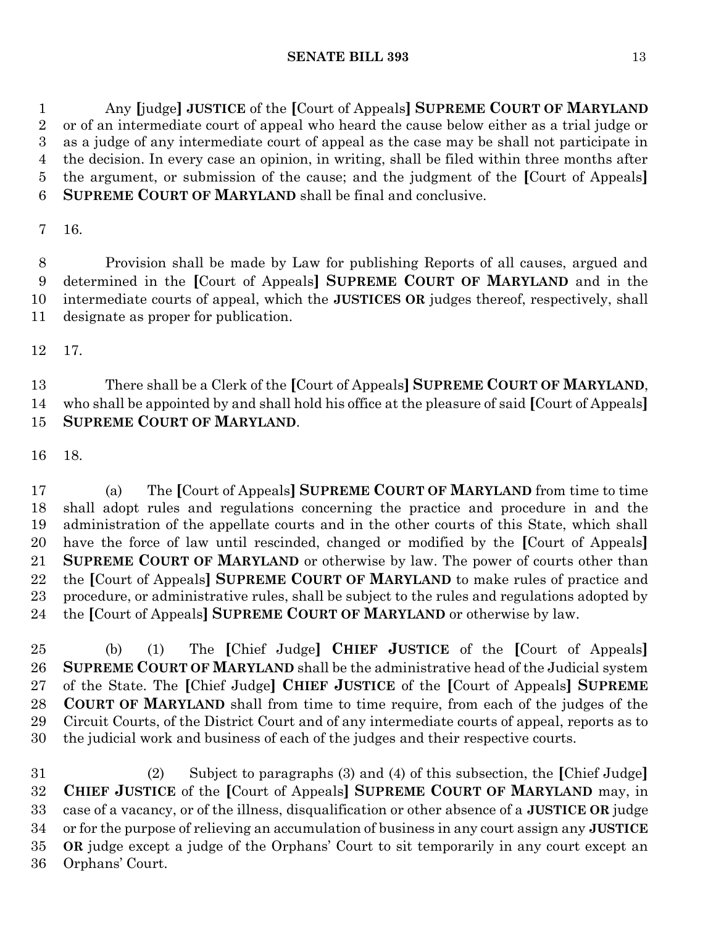Any **[**judge**] JUSTICE** of the **[**Court of Appeals**] SUPREME COURT OF MARYLAND** or of an intermediate court of appeal who heard the cause below either as a trial judge or as a judge of any intermediate court of appeal as the case may be shall not participate in the decision. In every case an opinion, in writing, shall be filed within three months after the argument, or submission of the cause; and the judgment of the **[**Court of Appeals**] SUPREME COURT OF MARYLAND** shall be final and conclusive.

16.

 Provision shall be made by Law for publishing Reports of all causes, argued and determined in the **[**Court of Appeals**] SUPREME COURT OF MARYLAND** and in the intermediate courts of appeal, which the **JUSTICES OR** judges thereof, respectively, shall designate as proper for publication.

17.

 There shall be a Clerk of the **[**Court of Appeals**] SUPREME COURT OF MARYLAND**, who shall be appointed by and shall hold his office at the pleasure of said **[**Court of Appeals**] SUPREME COURT OF MARYLAND**.

18.

 (a) The **[**Court of Appeals**] SUPREME COURT OF MARYLAND** from time to time shall adopt rules and regulations concerning the practice and procedure in and the administration of the appellate courts and in the other courts of this State, which shall have the force of law until rescinded, changed or modified by the **[**Court of Appeals**] SUPREME COURT OF MARYLAND** or otherwise by law. The power of courts other than the **[**Court of Appeals**] SUPREME COURT OF MARYLAND** to make rules of practice and procedure, or administrative rules, shall be subject to the rules and regulations adopted by the **[**Court of Appeals**] SUPREME COURT OF MARYLAND** or otherwise by law.

 (b) (1) The **[**Chief Judge**] CHIEF JUSTICE** of the **[**Court of Appeals**] SUPREME COURT OF MARYLAND** shall be the administrative head of the Judicial system of the State. The **[**Chief Judge**] CHIEF JUSTICE** of the **[**Court of Appeals**] SUPREME COURT OF MARYLAND** shall from time to time require, from each of the judges of the Circuit Courts, of the District Court and of any intermediate courts of appeal, reports as to the judicial work and business of each of the judges and their respective courts.

 (2) Subject to paragraphs (3) and (4) of this subsection, the **[**Chief Judge**] CHIEF JUSTICE** of the **[**Court of Appeals**] SUPREME COURT OF MARYLAND** may, in case of a vacancy, or of the illness, disqualification or other absence of a **JUSTICE OR** judge or for the purpose of relieving an accumulation of business in any court assign any **JUSTICE OR** judge except a judge of the Orphans' Court to sit temporarily in any court except an Orphans' Court.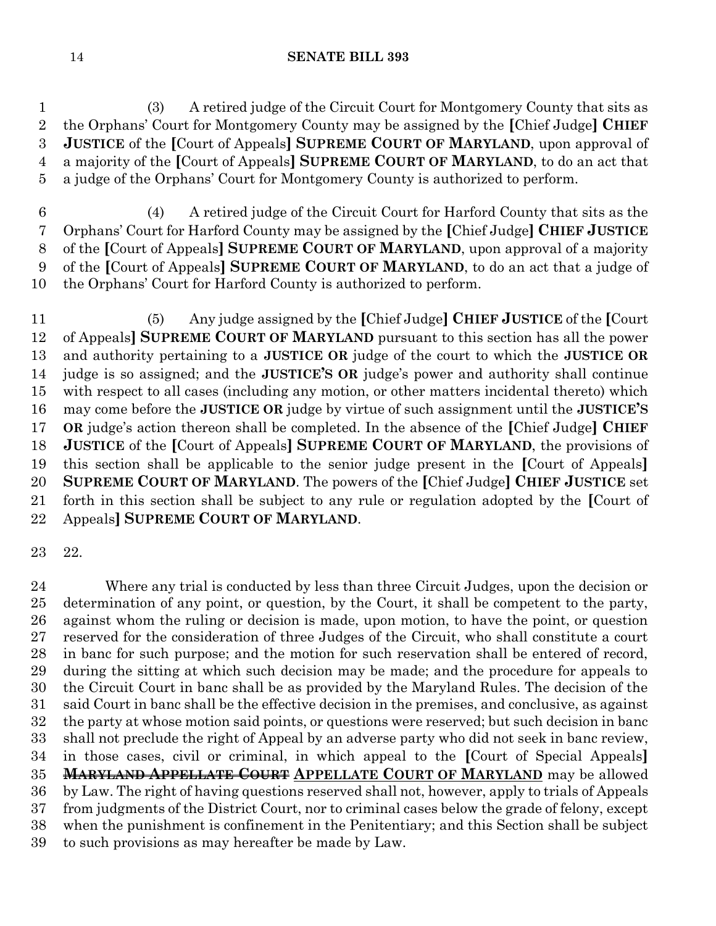(3) A retired judge of the Circuit Court for Montgomery County that sits as the Orphans' Court for Montgomery County may be assigned by the **[**Chief Judge**] CHIEF JUSTICE** of the **[**Court of Appeals**] SUPREME COURT OF MARYLAND**, upon approval of a majority of the **[**Court of Appeals**] SUPREME COURT OF MARYLAND**, to do an act that a judge of the Orphans' Court for Montgomery County is authorized to perform.

 (4) A retired judge of the Circuit Court for Harford County that sits as the Orphans' Court for Harford County may be assigned by the **[**Chief Judge**] CHIEF JUSTICE** of the **[**Court of Appeals**] SUPREME COURT OF MARYLAND**, upon approval of a majority of the **[**Court of Appeals**] SUPREME COURT OF MARYLAND**, to do an act that a judge of the Orphans' Court for Harford County is authorized to perform.

 (5) Any judge assigned by the **[**Chief Judge**] CHIEF JUSTICE** of the **[**Court of Appeals**] SUPREME COURT OF MARYLAND** pursuant to this section has all the power and authority pertaining to a **JUSTICE OR** judge of the court to which the **JUSTICE OR** judge is so assigned; and the **JUSTICE'S OR** judge's power and authority shall continue with respect to all cases (including any motion, or other matters incidental thereto) which may come before the **JUSTICE OR** judge by virtue of such assignment until the **JUSTICE'S OR** judge's action thereon shall be completed. In the absence of the **[**Chief Judge**] CHIEF JUSTICE** of the **[**Court of Appeals**] SUPREME COURT OF MARYLAND**, the provisions of this section shall be applicable to the senior judge present in the **[**Court of Appeals**] SUPREME COURT OF MARYLAND**. The powers of the **[**Chief Judge**] CHIEF JUSTICE** set forth in this section shall be subject to any rule or regulation adopted by the **[**Court of Appeals**] SUPREME COURT OF MARYLAND**.

22.

 Where any trial is conducted by less than three Circuit Judges, upon the decision or determination of any point, or question, by the Court, it shall be competent to the party, against whom the ruling or decision is made, upon motion, to have the point, or question reserved for the consideration of three Judges of the Circuit, who shall constitute a court in banc for such purpose; and the motion for such reservation shall be entered of record, during the sitting at which such decision may be made; and the procedure for appeals to the Circuit Court in banc shall be as provided by the Maryland Rules. The decision of the said Court in banc shall be the effective decision in the premises, and conclusive, as against the party at whose motion said points, or questions were reserved; but such decision in banc shall not preclude the right of Appeal by an adverse party who did not seek in banc review, in those cases, civil or criminal, in which appeal to the **[**Court of Special Appeals**] MARYLAND APPELLATE COURT APPELLATE COURT OF MARYLAND** may be allowed by Law. The right of having questions reserved shall not, however, apply to trials of Appeals from judgments of the District Court, nor to criminal cases below the grade of felony, except when the punishment is confinement in the Penitentiary; and this Section shall be subject to such provisions as may hereafter be made by Law.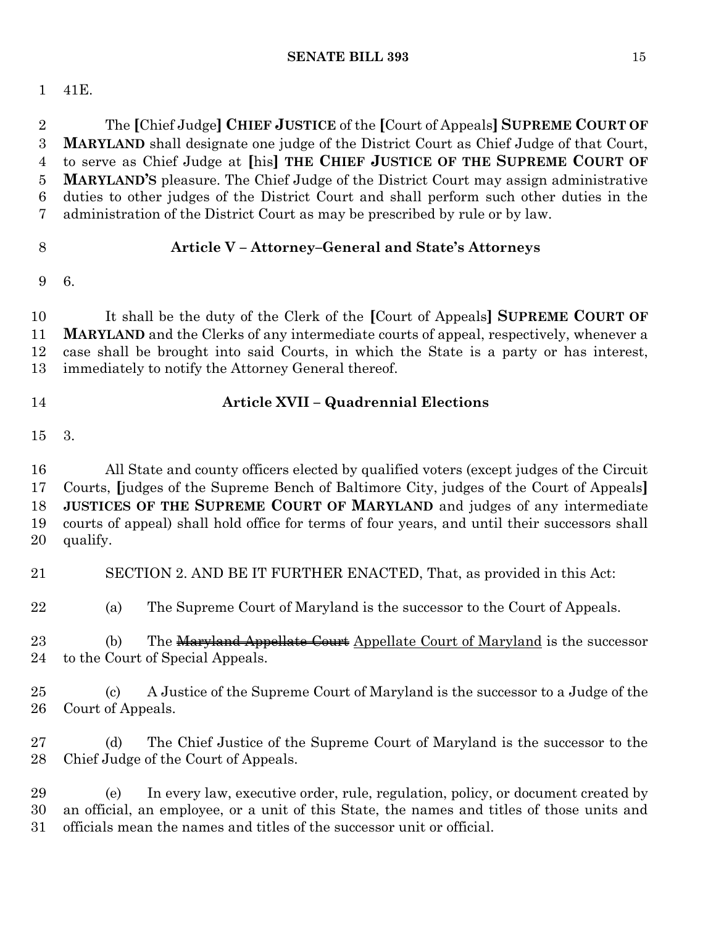41E.

 The **[**Chief Judge**] CHIEF JUSTICE** of the **[**Court of Appeals**] SUPREME COURT OF MARYLAND** shall designate one judge of the District Court as Chief Judge of that Court, to serve as Chief Judge at **[**his**] THE CHIEF JUSTICE OF THE SUPREME COURT OF MARYLAND'S** pleasure. The Chief Judge of the District Court may assign administrative duties to other judges of the District Court and shall perform such other duties in the administration of the District Court as may be prescribed by rule or by law. **Article V – Attorney–General and State's Attorneys** 6. It shall be the duty of the Clerk of the **[**Court of Appeals**] SUPREME COURT OF MARYLAND** and the Clerks of any intermediate courts of appeal, respectively, whenever a case shall be brought into said Courts, in which the State is a party or has interest, immediately to notify the Attorney General thereof. **Article XVII – Quadrennial Elections** 3. All State and county officers elected by qualified voters (except judges of the Circuit Courts, **[**judges of the Supreme Bench of Baltimore City, judges of the Court of Appeals**] JUSTICES OF THE SUPREME COURT OF MARYLAND** and judges of any intermediate courts of appeal) shall hold office for terms of four years, and until their successors shall qualify. SECTION 2. AND BE IT FURTHER ENACTED, That, as provided in this Act: (a) The Supreme Court of Maryland is the successor to the Court of Appeals. 23 (b) The Maryland Appellate Court Appellate Court of Maryland is the successor to the Court of Special Appeals. (c) A Justice of the Supreme Court of Maryland is the successor to a Judge of the Court of Appeals. (d) The Chief Justice of the Supreme Court of Maryland is the successor to the Chief Judge of the Court of Appeals. (e) In every law, executive order, rule, regulation, policy, or document created by an official, an employee, or a unit of this State, the names and titles of those units and officials mean the names and titles of the successor unit or official.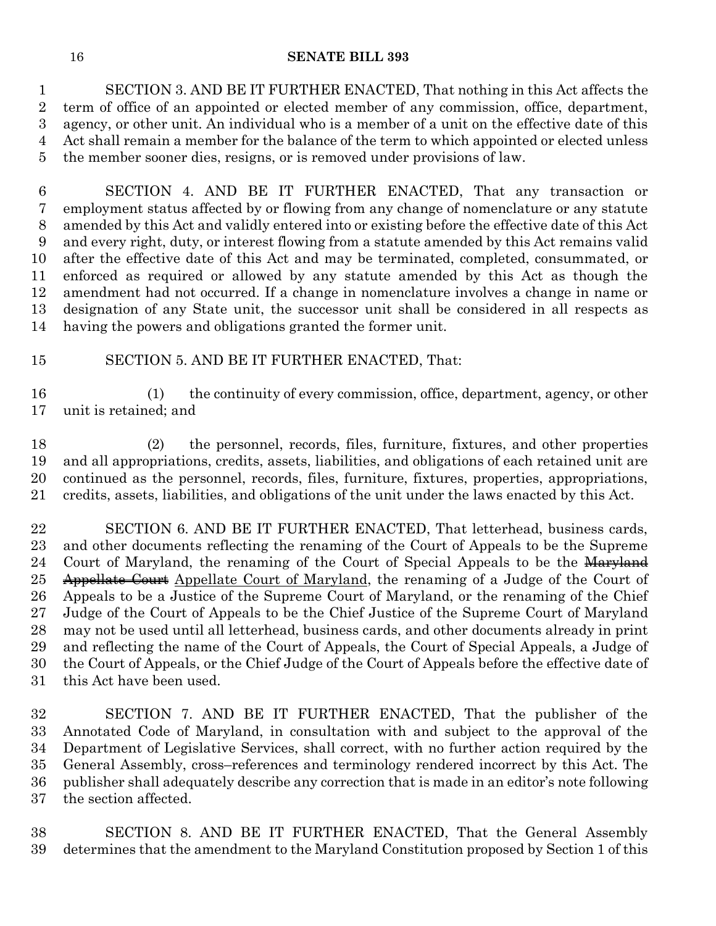SECTION 3. AND BE IT FURTHER ENACTED, That nothing in this Act affects the term of office of an appointed or elected member of any commission, office, department, agency, or other unit. An individual who is a member of a unit on the effective date of this Act shall remain a member for the balance of the term to which appointed or elected unless the member sooner dies, resigns, or is removed under provisions of law.

 SECTION 4. AND BE IT FURTHER ENACTED, That any transaction or employment status affected by or flowing from any change of nomenclature or any statute amended by this Act and validly entered into or existing before the effective date of this Act and every right, duty, or interest flowing from a statute amended by this Act remains valid after the effective date of this Act and may be terminated, completed, consummated, or enforced as required or allowed by any statute amended by this Act as though the amendment had not occurred. If a change in nomenclature involves a change in name or designation of any State unit, the successor unit shall be considered in all respects as having the powers and obligations granted the former unit.

SECTION 5. AND BE IT FURTHER ENACTED, That:

 (1) the continuity of every commission, office, department, agency, or other unit is retained; and

 (2) the personnel, records, files, furniture, fixtures, and other properties and all appropriations, credits, assets, liabilities, and obligations of each retained unit are continued as the personnel, records, files, furniture, fixtures, properties, appropriations, credits, assets, liabilities, and obligations of the unit under the laws enacted by this Act.

 SECTION 6. AND BE IT FURTHER ENACTED, That letterhead, business cards, and other documents reflecting the renaming of the Court of Appeals to be the Supreme 24 Court of Maryland, the renaming of the Court of Special Appeals to be the Maryland 25 Appellate Court Appellate Court of Maryland, the renaming of a Judge of the Court of Appeals to be a Justice of the Supreme Court of Maryland, or the renaming of the Chief Judge of the Court of Appeals to be the Chief Justice of the Supreme Court of Maryland may not be used until all letterhead, business cards, and other documents already in print and reflecting the name of the Court of Appeals, the Court of Special Appeals, a Judge of the Court of Appeals, or the Chief Judge of the Court of Appeals before the effective date of this Act have been used.

 SECTION 7. AND BE IT FURTHER ENACTED, That the publisher of the Annotated Code of Maryland, in consultation with and subject to the approval of the Department of Legislative Services, shall correct, with no further action required by the General Assembly, cross–references and terminology rendered incorrect by this Act. The publisher shall adequately describe any correction that is made in an editor's note following the section affected.

 SECTION 8. AND BE IT FURTHER ENACTED, That the General Assembly determines that the amendment to the Maryland Constitution proposed by Section 1 of this